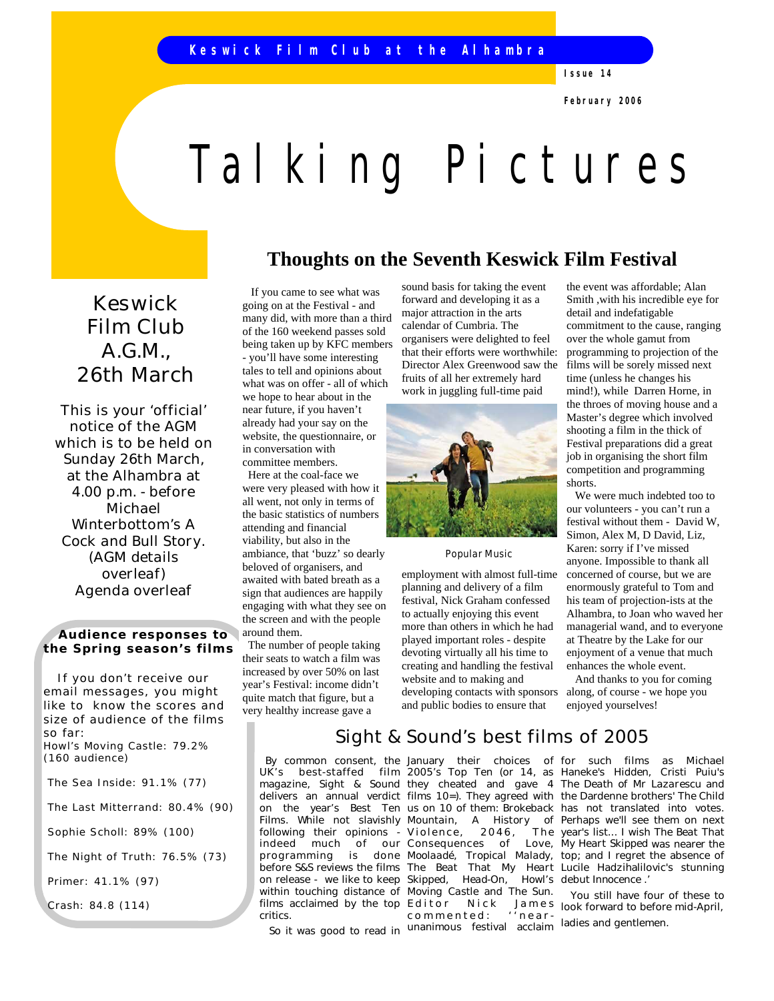**Issue 14**

**February 2006**

# Talking Pictures

## **Thoughts on the Seventh Keswick Film Festival**

Keswick Film Club A.G.M., 26th March

This is your 'official' notice of the AGM which is to be held on Sunday 26th March, at the Alhambra at 4.00 p.m. - before Michael Winterbottom's *A Cock and Bull Story. (AGM details overleaf)* Agenda overleaf

 **Audience responses to the Spring season's films**

If you don't receive our email messages, you might like to know the scores and size of audience of the films so far: Howl's Moving Castle: 79.2% (160 audience)

The Sea Inside: 91.1% (77)

The Last Mitterrand: 80.4% (90)

Sophie Scholl: 89% (100)

The Night of Truth: 76.5% (73)

Primer: 41.1% (97)

Crash: 84.8 (114)

 If you came to see what was going on at the Festival - and many did, with more than a third of the 160 weekend passes sold being taken up by KFC members - you'll have some interesting tales to tell and opinions about what was on offer - all of which we hope to hear about in the near future, if you haven't already had your say on the website, the questionnaire, or in conversation with committee members.

 Here at the coal-face we were very pleased with how it all went, not only in terms of the basic statistics of numbers attending and financial viability, but also in the ambiance, that 'buzz' so dearly beloved of organisers, and awaited with bated breath as a sign that audiences are happily engaging with what they see on the screen and with the people around them.

 The number of people taking their seats to watch a film was increased by over 50% on last year's Festival: income didn't quite match that figure, but a very healthy increase gave a

> By common consent, the UK's best-staffed film Films. While not slavishly Mountain, indeed much of programming before S&S reviews the films on release - we like to keep films acclaimed by the top Editor critics.

So it was good to read in

sound basis for taking the event forward and developing it as a major attraction in the arts calendar of Cumbria. The organisers were delighted to feel that their efforts were worthwhile: Director Alex Greenwood saw the fruits of all her extremely hard work in juggling full-time paid



#### *Popular Music*

employment with almost full-time planning and delivery of a film festival, Nick Graham confessed to actually enjoying this event more than others in which he had played important roles - despite devoting virtually all his time to creating and handling the festival website and to making and developing contacts with sponsors and public bodies to ensure that

Sight & Sound's best films of 2005

following their opinions - *Violence, 20 46, T he*  within touching distance of *Moving Castle* and *The Sun.*  January their choices of 2005's Top Ten (or 14, as our Consequences of *The Beat That My Heart Skipped, Head-On, Howl's*  commented: ''nearcommonced: incluition ladies and gentlemen.

the event was affordable; Alan Smith ,with his incredible eye for detail and indefatigable commitment to the cause, ranging over the whole gamut from programming to projection of the films will be sorely missed next time (unless he changes his mind!), while Darren Horne, in the throes of moving house and a Master's degree which involved shooting a film in the thick of Festival preparations did a great job in organising the short film competition and programming shorts.

 We were much indebted too to our volunteers - you can't run a festival without them - David W, Simon, Alex M, D David, Liz, Karen: sorry if I've missed anyone. Impossible to thank all concerned of course, but we are enormously grateful to Tom and his team of projection-ists at the Alhambra, to Joan who waved her managerial wand, and to everyone at Theatre by the Lake for our enjoyment of a venue that much enhances the whole event.

 And thanks to you for coming along, of course - we hope you enjoyed yourselves!

magazine, Sight & Sound they cheated and gave 4 The Death of Mr Lazarescu and delivers an annual verdict films 10=). They agreed with the Dardenne brothers' *The Child* on the year's Best Ten us on 10 of them: *Brokeback*  has not translated into votes. *Mountain, A History of*  Perhaps we'll see them on next *Moolaadé, Tropical Malady,*  top; and I regret the absence of for such films as Michael Haneke's *Hidden*, Cristi Puiu's year's list... I wish *The Beat That My Heart Skipped* was nearer the Lucile Hadzihalilovic's stunning debut *Innocence* .'

> E d i t or Nick James look forward to before mid-April, You still have four of these to